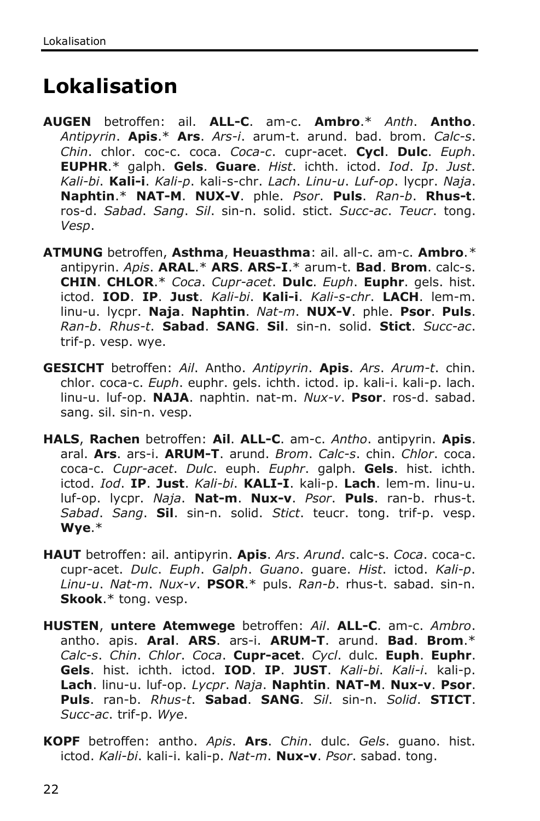# **Lokalisation**

- **AUGEN** betroffen: ail. **ALL-C**. am-c. **Ambro**.\* *Anth*. **Antho**. *Antipyrin*. **Apis**.\* **Ars**. *Ars-i*. arum-t. arund. bad. brom. *Calc-s*. *Chin*. chlor. coc-c. coca. *Coca-c*. cupr-acet. **Cycl**. **Dulc**. *Euph*. **EUPHR**.\* galph. **Gels**. **Guare**. *Hist*. ichth. ictod. *Iod*. *Ip*. *Just*. *Kali-bi*. **Kali-i**. *Kali-p*. kali-s-chr. *Lach*. *Linu-u*. *Luf-op*. lycpr. *Naja*. **Naphtin**.\* **NAT-M**. **NUX-V**. phle. *Psor*. **Puls**. *Ran-b*. **Rhus-t**. ros-d. *Sabad*. *Sang*. *Sil*. sin-n. solid. stict. *Succ-ac*. *Teucr*. tong. *Vesp*.
- **ATMUNG** betroffen, **Asthma**, **Heuasthma**: ail. all-c. am-c. **Ambro**.*\** antipyrin. *Apis*. **ARAL**.\* **ARS**. **ARS-I**.\* arum-t. **Bad**. **Brom**. calc-s. **CHIN**. **CHLOR**.\* *Coca*. *Cupr-acet*. **Dulc**. *Euph*. **Euphr**. gels. hist. ictod. **IOD**. **IP**. **Just**. *Kali-bi*. **Kali-i**. *Kali-s-chr*. **LACH**. lem-m. linu-u. lycpr. **Naja**. **Naphtin**. *Nat-m*. **NUX-V**. phle. **Psor**. **Puls**. *Ran-b*. *Rhus-t*. **Sabad**. **SANG**. **Sil**. sin-n. solid. **Stict**. *Succ-ac*. trif-p. vesp. wye.
- **GESICHT** betroffen: *Ail*. Antho. *Antipyrin*. **Apis**. *Ars*. *Arum-t*. chin. chlor. coca-c. *Euph*. euphr. gels. ichth. ictod. ip. kali-i. kali-p. lach. linu-u. luf-op. **NAJA**. naphtin. nat-m. *Nux-v*. **Psor**. ros-d. sabad. sang. sil. sin-n. vesp.
- **HALS**, **Rachen** betroffen: **Ail**. **ALL-C**. am-c. *Antho*. antipyrin. **Apis**. aral. **Ars**. ars-i. **ARUM-T**. arund. *Brom*. *Calc-s*. chin. *Chlor*. coca. coca-c. *Cupr-acet*. *Dulc*. euph. *Euphr*. galph. **Gels**. hist. ichth. ictod. *Iod*. **IP**. **Just**. *Kali-bi*. **KALI-I**. kali-p. **Lach**. lem-m. linu-u. luf-op. lycpr. *Naja*. **Nat-m**. **Nux-v**. *Psor*. **Puls**. ran-b. rhus-t. *Sabad*. *Sang*. **Sil**. sin-n. solid. *Stict*. teucr. tong. trif-p. vesp. **Wye**.\*
- **HAUT** betroffen: ail. antipyrin. **Apis**. *Ars*. *Arund*. calc-s. *Coca*. coca-c. cupr-acet. *Dulc*. *Euph*. *Galph*. *Guano*. guare. *Hist*. ictod. *Kali-p*. *Linu-u*. *Nat-m*. *Nux-v*. **PSOR**.\* puls. *Ran-b*. rhus-t. sabad. sin-n. **Skook**.\* tong. vesp.
- **HUSTEN**, **untere Atemwege** betroffen: *Ail*. **ALL-C**. am-c. *Ambro*. antho. apis. **Aral**. **ARS**. ars-i. **ARUM-T**. arund. **Bad**. **Brom**.\* *Calc-s*. *Chin*. *Chlor*. *Coca*. **Cupr-acet**. *Cycl*. dulc. **Euph**. **Euphr**. **Gels**. hist. ichth. ictod. **IOD**. **IP**. **JUST**. *Kali-bi*. *Kali-i*. kali-p. **Lach**. linu-u. luf-op. *Lycpr*. *Naja*. **Naphtin**. **NAT-M**. **Nux-v**. **Psor**. **Puls**. ran-b. *Rhus-t*. **Sabad**. **SANG**. *Sil*. sin-n. *Solid*. **STICT**. *Succ-ac*. trif-p. *Wye*.
- **KOPF** betroffen: antho. *Apis*. **Ars**. *Chin*. dulc. *Gels*. guano. hist. ictod. *Kali-bi*. kali-i. kali-p. *Nat-m*. **Nux-v**. *Psor*. sabad. tong.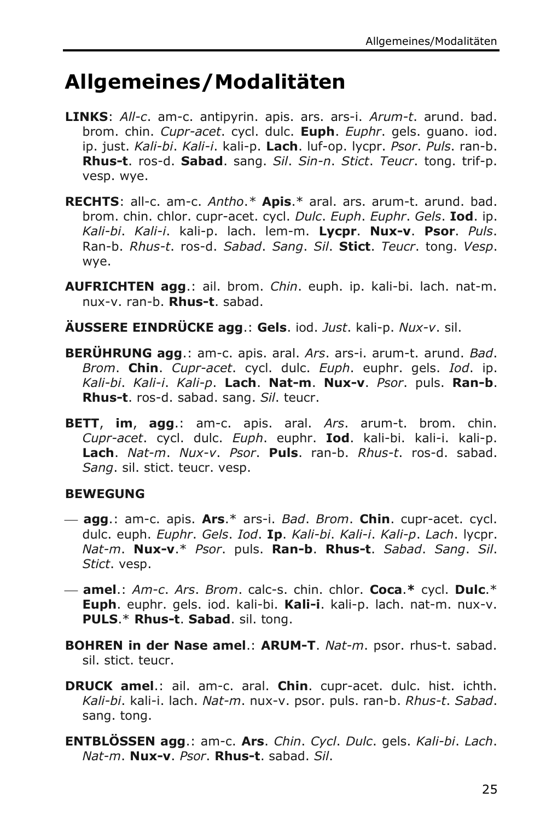# **Allgemeines/Modalitäten**

- **LINKS**: *All-c*. am-c. antipyrin. apis. ars. ars-i. *Arum-t*. arund. bad. brom. chin. *Cupr-acet*. cycl. dulc. **Euph**. *Euphr*. gels. guano. iod. ip. just. *Kali-bi*. *Kali-i*. kali-p. **Lach**. luf-op. lycpr. *Psor*. *Puls*. ran-b. **Rhus-t**. ros-d. **Sabad**. sang. *Sil*. *Sin-n*. *Stict*. *Teucr*. tong. trif-p. vesp. wye.
- **RECHTS**: all-c. am-c. *Antho*.*\** **Apis**.\* aral. ars. arum-t. arund. bad. brom. chin. chlor. cupr-acet. cycl. *Dulc*. *Euph*. *Euphr*. *Gels*. **Iod**. ip. *Kali-bi*. *Kali-i*. kali-p. lach. lem-m. **Lycpr**. **Nux-v**. **Psor**. *Puls*. Ran-b. *Rhus-t*. ros-d. *Sabad*. *Sang*. *Sil*. **Stict**. *Teucr*. tong. *Vesp*. wye.
- **AUFRICHTEN agg**.: ail. brom. *Chin*. euph. ip. kali-bi. lach. nat-m. nux-v. ran-b. **Rhus-t**. sabad.
- **ÄUSSERE EINDRÜCKE agg**.: **Gels**. iod. *Just*. kali-p. *Nux-v*. sil.
- **BERÜHRUNG agg**.: am-c. apis. aral. *Ars*. ars-i. arum-t. arund. *Bad*. *Brom*. **Chin**. *Cupr-acet*. cycl. dulc. *Euph*. euphr. gels. *Iod*. ip. *Kali-bi*. *Kali-i*. *Kali-p*. **Lach**. **Nat-m**. **Nux-v**. *Psor*. puls. **Ran-b**. **Rhus-t**. ros-d. sabad. sang. *Sil*. teucr.
- **BETT**, **im**, **agg**.: am-c. apis. aral. *Ars*. arum-t. brom. chin. *Cupr-acet*. cycl. dulc. *Euph*. euphr. **Iod**. kali-bi. kali-i. kali-p. **Lach**. *Nat-m*. *Nux-v*. *Psor*. **Puls**. ran-b. *Rhus-t*. ros-d. sabad. *Sang*. sil. stict. teucr. vesp.

### **BEWEGUNG**

- **agg**.: am-c. apis. **Ars**.\* ars-i. *Bad*. *Brom*. **Chin**. cupr-acet. cycl. dulc. euph. *Euphr*. *Gels*. *Iod*. **Ip**. *Kali-bi*. *Kali-i*. *Kali-p*. *Lach*. lycpr. *Nat-m*. **Nux-v**.\* *Psor*. puls. **Ran-b**. **Rhus-t**. *Sabad*. *Sang*. *Sil*. *Stict*. vesp.
- **amel**.: *Am-c*. *Ars*. *Brom*. calc-s. chin. chlor. **Coca**.**\*** cycl. **Dulc**.\* **Euph**. euphr. gels. iod. kali-bi. **Kali-i**. kali-p. lach. nat-m. nux-v. **PULS**.\* **Rhus-t**. **Sabad**. sil. tong.
- **BOHREN in der Nase amel**.: **ARUM-T**. *Nat-m*. psor. rhus-t. sabad. sil. stict. teucr.
- **DRUCK amel**.: ail. am-c. aral. **Chin**. cupr-acet. dulc. hist. ichth. *Kali-bi*. kali-i. lach. *Nat-m*. nux-v. psor. puls. ran-b. *Rhus-t*. *Sabad*. sang. tong.
- **ENTBLÖSSEN agg**.: am-c. **Ars**. *Chin*. *Cycl*. *Dulc*. gels. *Kali-bi*. *Lach*. *Nat-m*. **Nux-v**. *Psor*. **Rhus-t**. sabad. *Sil*.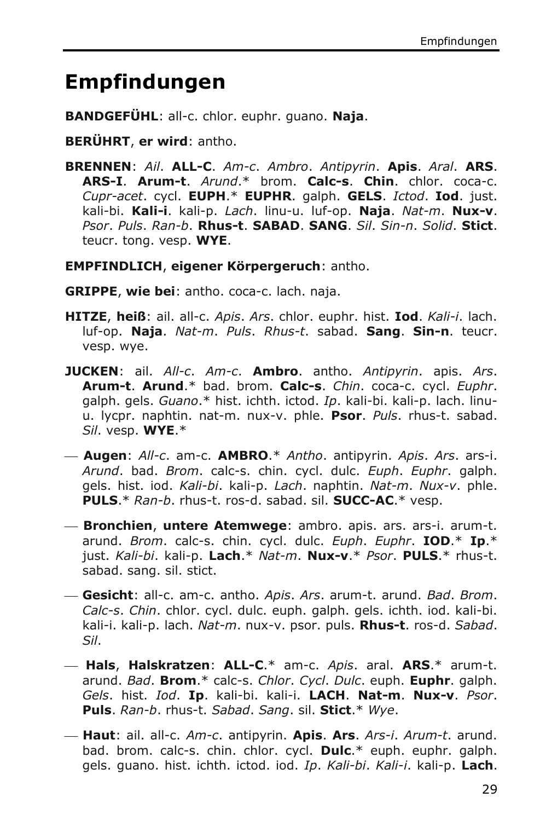## **Empfindungen**

- **BANDGEFÜHL**: all-c. chlor. euphr. guano. **Naja**.
- **BERÜHRT**, **er wird**: antho.
- **BRENNEN**: *Ail*. **ALL-C**. *Am-c*. *Ambro*. *Antipyrin*. **Apis**. *Aral*. **ARS**. **ARS-I**. **Arum-t**. *Arund*.\* brom. **Calc-s**. **Chin**. chlor. coca-c. *Cupr-acet*. cycl. **EUPH**.\* **EUPHR**. galph. **GELS**. *Ictod*. **Iod**. just. kali-bi. **Kali-i**. kali-p. *Lach*. linu-u. luf-op. **Naja**. *Nat-m*. **Nux-v**. *Psor*. *Puls*. *Ran-b*. **Rhus-t**. **SABAD**. **SANG**. *Sil*. *Sin-n*. *Solid*. **Stict**. teucr. tong. vesp. **WYE**.
- **EMPFINDLICH**, **eigener Körpergeruch**: antho.
- **GRIPPE**, **wie bei**: antho. coca-c. lach. naja.
- **HITZE**, **heiß**: ail. all-c. *Apis*. *Ars*. chlor. euphr. hist. **Iod**. *Kali-i*. lach. luf-op. **Naja**. *Nat-m*. *Puls*. *Rhus-t*. sabad. **Sang**. **Sin-n**. teucr. vesp. wye.
- **JUCKEN**: ail. *All-c*. *Am-c*. **Ambro**. antho. *Antipyrin*. apis. *Ars*. **Arum-t**. **Arund**.\* bad. brom. **Calc-s**. *Chin*. coca-c. cycl. *Euphr*. galph. gels. *Guano*.\* hist. ichth. ictod. *Ip*. kali-bi. kali-p. lach. linuu. lycpr. naphtin. nat-m. nux-v. phle. **Psor**. *Puls*. rhus-t. sabad. *Sil*. vesp. **WYE**.\*
- **Augen**: *All-c*. am-c. **AMBRO**.\* *Antho*. antipyrin. *Apis*. *Ars*. ars-i. *Arund*. bad. *Brom*. calc-s. chin. cycl. dulc. *Euph*. *Euphr*. galph. gels. hist. iod. *Kali-bi*. kali-p. *Lach*. naphtin. *Nat-m*. *Nux-v*. phle. **PULS**.\* *Ran-b*. rhus-t. ros-d. sabad. sil. **SUCC-AC**.\* vesp.
- **Bronchien**, **untere Atemwege**: ambro. apis. ars. ars-i. arum-t. arund. *Brom*. calc-s. chin. cycl. dulc. *Euph*. *Euphr*. **IOD**.\* **Ip**.\* just. *Kali-bi*. kali-p. **Lach**.\* *Nat-m*. **Nux-v**.\* *Psor*. **PULS**.\* rhus-t. sabad. sang. sil. stict.
- **Gesicht**: all-c. am-c. antho. *Apis*. *Ars*. arum-t. arund. *Bad*. *Brom*. *Calc-s*. *Chin*. chlor. cycl. dulc. euph. galph. gels. ichth. iod. kali-bi. kali-i. kali-p. lach. *Nat-m*. nux-v. psor. puls. **Rhus-t**. ros-d. *Sabad*. *Sil*.
- **Hals**, **Halskratzen**: **ALL-C**.\* am-c. *Apis*. aral. **ARS**.\* arum-t. arund. *Bad*. **Brom**.\* calc-s. *Chlor*. *Cycl*. *Dulc*. euph. **Euphr**. galph. *Gels*. hist. *Iod*. **Ip**. kali-bi. kali-i. **LACH**. **Nat-m**. **Nux-v**. *Psor*. **Puls**. *Ran-b*. rhus-t. *Sabad*. *Sang*. sil. **Stict**.\* *Wye*.
- **Haut**: ail. all-c. *Am-c*. antipyrin. **Apis**. **Ars**. *Ars-i*. *Arum-t*. arund. bad. brom. calc-s. chin. chlor. cycl. **Dulc**.\* euph. euphr. galph. gels. guano. hist. ichth. ictod. iod. *Ip*. *Kali-bi*. *Kali-i*. kali-p. **Lach**.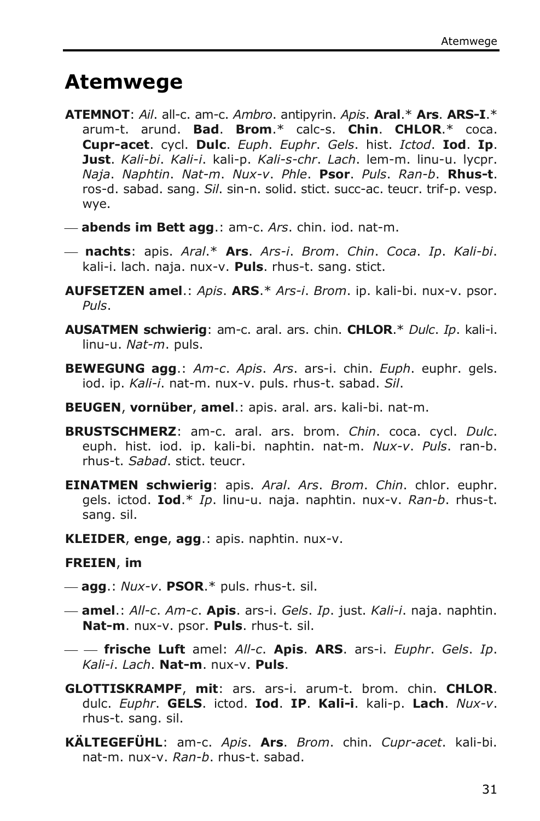## **Atemwege**

- **ATEMNOT**: *Ail*. all-c. am-c. *Ambro*. antipyrin. *Apis*. **Aral**.\* **Ars**. **ARS-I**.\* arum-t. arund. **Bad**. **Brom**.\* calc-s. **Chin**. **CHLOR**.\* coca. **Cupr-acet**. cycl. **Dulc**. *Euph*. *Euphr*. *Gels*. hist. *Ictod*. **Iod**. **Ip**. **Just**. *Kali-bi*. *Kali-i*. kali-p. *Kali-s-chr*. *Lach*. lem-m. linu-u. lycpr. *Naja*. *Naphtin*. *Nat-m*. *Nux-v*. *Phle*. **Psor**. *Puls*. *Ran-b*. **Rhus-t**. ros-d. sabad. sang. *Sil*. sin-n. solid. stict. succ-ac. teucr. trif-p. vesp. wye.
- **abends im Bett agg**.: am-c. *Ars*. chin. iod. nat-m.
- **nachts**: apis. *Aral*.\* **Ars**. *Ars-i*. *Brom*. *Chin*. *Coca*. *Ip*. *Kali-bi*. kali-i. lach. naja. nux-v. **Puls**. rhus-t. sang. stict.
- **AUFSETZEN amel**.: *Apis*. **ARS**.\* *Ars-i*. *Brom*. ip. kali-bi. nux-v. psor. *Puls*.
- **AUSATMEN schwierig**: am-c. aral. ars. chin. **CHLOR**.\* *Dulc*. *Ip*. kali-i. linu-u. *Nat-m*. puls.
- **BEWEGUNG agg**.: *Am-c*. *Apis*. *Ars*. ars-i. chin. *Euph*. euphr. gels. iod. ip. *Kali-i*. nat-m. nux-v. puls. rhus-t. sabad. *Sil*.
- **BEUGEN**, **vornüber**, **amel**.: apis. aral. ars. kali-bi. nat-m.
- **BRUSTSCHMERZ**: am-c. aral. ars. brom. *Chin*. coca. cycl. *Dulc*. euph. hist. iod. ip. kali-bi. naphtin. nat-m. *Nux-v*. *Puls*. ran-b. rhus-t. *Sabad*. stict. teucr.
- **EINATMEN schwierig**: apis. *Aral*. *Ars*. *Brom*. *Chin*. chlor. euphr. gels. ictod. **Iod**.\* *Ip*. linu-u. naja. naphtin. nux-v. *Ran-b*. rhus-t. sang. sil.
- **KLEIDER**, **enge**, **agg**.: apis. naphtin. nux-v.

#### **FREIEN**, **im**

- **agg**.: *Nux-v*. **PSOR**.\* puls. rhus-t. sil.
- **amel**.: *All-c*. *Am-c*. **Apis**. ars-i. *Gels*. *Ip*. just. *Kali-i*. naja. naphtin. **Nat-m**. nux-v. psor. **Puls**. rhus-t. sil.
- **frische Luft** amel: *All-c*. **Apis**. **ARS**. ars-i. *Euphr*. *Gels*. *Ip*. *Kali-i*. *Lach*. **Nat-m**. nux-v. **Puls**.
- **GLOTTISKRAMPF**, **mit**: ars. ars-i. arum-t. brom. chin. **CHLOR**. dulc. *Euphr*. **GELS**. ictod. **Iod**. **IP**. **Kali-i**. kali-p. **Lach**. *Nux-v*. rhus-t. sang. sil.
- **KÄLTEGEFÜHL**: am-c. *Apis*. **Ars**. *Brom*. chin. *Cupr-acet*. kali-bi. nat-m. nux-v. *Ran-b*. rhus-t. sabad.